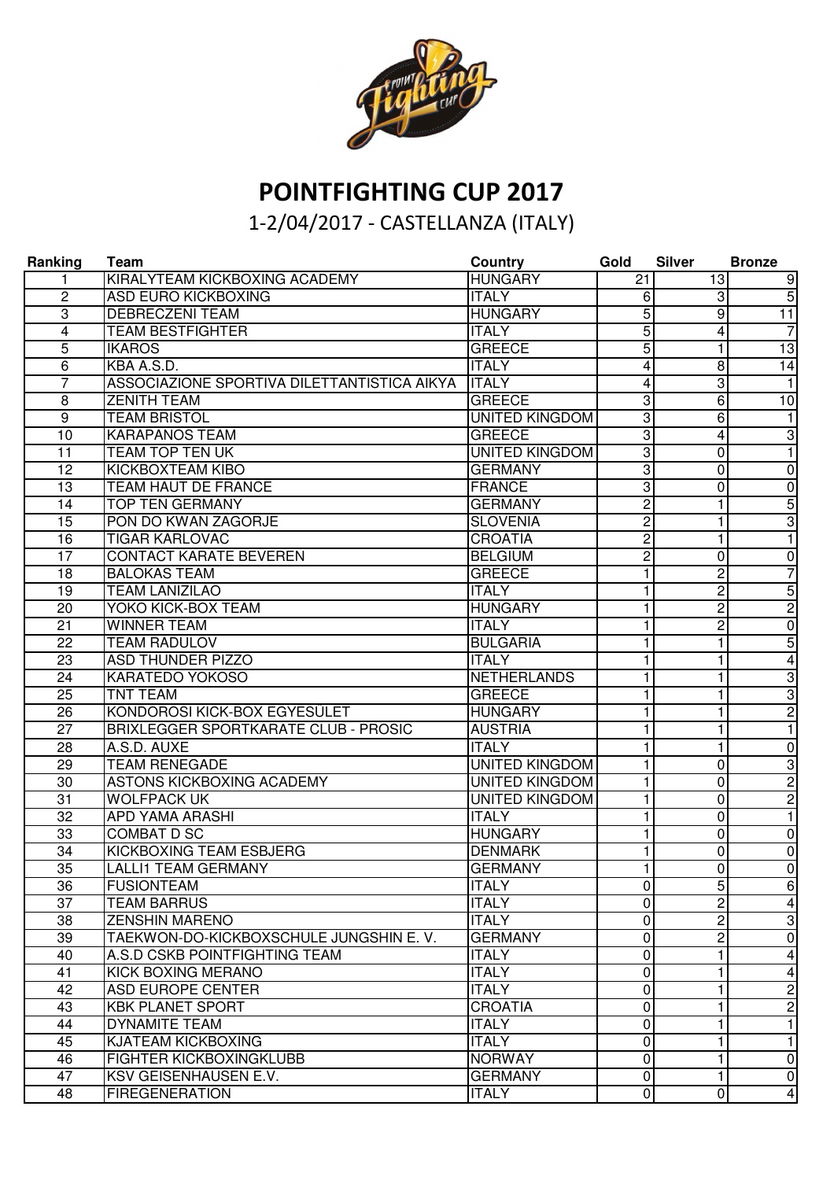

## **POINTFIGHTING CUP 2017**

## 1-2/04/2017 - CASTELLANZA (ITALY)

| Ranking         | Team                                        | <b>Country</b>        | Gold                    | <b>Silver</b>  | <b>Bronze</b>           |
|-----------------|---------------------------------------------|-----------------------|-------------------------|----------------|-------------------------|
|                 | KIRALYTEAM KICKBOXING ACADEMY               | <b>HUNGARY</b>        | 21                      | 13             | 9                       |
| $\overline{2}$  | <b>ASD EURO KICKBOXING</b>                  | <b>ITALY</b>          | 6                       | 3              | $\overline{5}$          |
| $\overline{3}$  | <b>DEBRECZENI TEAM</b>                      | <b>HUNGARY</b>        | 5                       | 9              | $\overline{11}$         |
| 4               | <b>TEAM BESTFIGHTER</b>                     | <b>ITALY</b>          | 5                       | 4              | $\overline{7}$          |
| 5               | <b>IKAROS</b>                               | <b>GREECE</b>         | 5                       | 1              | $\overline{13}$         |
| $\overline{6}$  | KBA A.S.D.                                  | <b>ITALY</b>          | 4                       | 8              | $\overline{14}$         |
| 7               | ASSOCIAZIONE SPORTIVA DILETTANTISTICA AIKYA | <b>ITALY</b>          | 4                       | 3              | $\mathbf{1}$            |
| 8               | <b>ZENITH TEAM</b>                          | <b>GREECE</b>         | 3                       | 6              | 10                      |
| $\overline{9}$  | <b>TEAM BRISTOL</b>                         | <b>UNITED KINGDOM</b> | 3                       | 6              | $\mathbf{1}$            |
| 10              | <b>KARAPANOS TEAM</b>                       | <b>GREECE</b>         | 3                       | 4              | $\overline{3}$          |
| 11              | <b>TEAM TOP TEN UK</b>                      | <b>UNITED KINGDOM</b> | $\overline{3}$          | $\mathbf{0}$   | $\mathbf{1}$            |
| 12              | KICKBOXTEAM KIBO                            | <b>GERMANY</b>        | 3                       | 0              | $\pmb{0}$               |
| 13              | TEAM HAUT DE FRANCE                         | <b>FRANCE</b>         | 3                       | 0              | $\pmb{0}$               |
| 14              | <b>TOP TEN GERMANY</b>                      | <b>GERMANY</b>        | $\overline{\mathbf{c}}$ | 1              | $\overline{5}$          |
| 15              | PON DO KWAN ZAGORJE                         | <b>SLOVENIA</b>       | $\overline{c}$          | 1              | $\overline{3}$          |
| 16              | <b>TIGAR KARLOVAC</b>                       | <b>CROATIA</b>        | $\overline{\mathbf{c}}$ | 1              | $\overline{1}$          |
| 17              | <b>CONTACT KARATE BEVEREN</b>               | <b>BELGIUM</b>        | $\overline{c}$          | $\mathbf 0$    | $\pmb{0}$               |
| 18              | <b>BALOKAS TEAM</b>                         | <b>GREECE</b>         | 1.                      | 2              | $\overline{7}$          |
| 19              | <b>TEAM LANIZILAO</b>                       | <b>ITALY</b>          | 1.                      | 2              | $\overline{5}$          |
| 20              | <b>YOKO KICK-BOX TEAM</b>                   | <b>HUNGARY</b>        | 1.                      | 2              | $\overline{c}$          |
| 21              | <b>WINNER TEAM</b>                          | <b>ITALY</b>          | 1                       | 2              | $\overline{0}$          |
| 22              | <b>TEAM RADULOV</b>                         | <b>BULGARIA</b>       | 1                       | 1              | $\overline{5}$          |
| 23              | <b>ASD THUNDER PIZZO</b>                    | <b>ITALY</b>          | 1                       | 1              | $\overline{4}$          |
| 24              | KARATEDO YOKOSO                             | <b>NETHERLANDS</b>    | 1                       | 1              | c)                      |
| 25              | <b>TNT TEAM</b>                             | <b>GREECE</b>         | 1                       | 1              | $\overline{3}$          |
| 26              | KONDOROSI KICK-BOX EGYESÜLET                | <b>HUNGARY</b>        | 1                       | 1              | $\overline{2}$          |
| $\overline{27}$ | <b>BRIXLEGGER SPORTKARATE CLUB - PROSIC</b> | <b>AUSTRIA</b>        | 1                       | 1              | $\overline{1}$          |
| $\overline{28}$ | A.S.D. AUXE                                 | <b>ITALY</b>          | 1                       | 1              | $\overline{0}$          |
| $\overline{29}$ | <b>TEAM RENEGADE</b>                        | <b>UNITED KINGDOM</b> | 1                       | 0              | $\overline{3}$          |
| 30              | <b>ASTONS KICKBOXING ACADEMY</b>            | <b>UNITED KINGDOM</b> | 1.                      | 0              | $\overline{2}$          |
| $\overline{31}$ | <b>WOLFPACK UK</b>                          | <b>UNITED KINGDOM</b> | 1                       | $\mathbf 0$    | $\overline{2}$          |
| $\overline{32}$ | <b>APD YAMA ARASHI</b>                      | <b>ITALY</b>          | $\mathbf{1}$            | $\mathbf 0$    | $\overline{1}$          |
| 33              | <b>COMBAT D SC</b>                          | <b>HUNGARY</b>        | 1                       | 0              | $\pmb{0}$               |
| $\overline{34}$ | KICKBOXING TEAM ESBJERG                     | <b>DENMARK</b>        | 1.                      | 0              | $\mathbf 0$             |
| 35              | <b>LALLI1 TEAM GERMANY</b>                  | <b>GERMANY</b>        | 1                       | $\mathbf 0$    | $\overline{0}$          |
| 36              | <b>FUSIONTEAM</b>                           | <b>ITALY</b>          | $\overline{0}$          | $5 \mid$       | 6                       |
| $\overline{37}$ | <b>TEAM BARRUS</b>                          | <b>ITALY</b>          | $\overline{0}$          | $\overline{2}$ | $\overline{\mathbf{4}}$ |
| 38              | <b>ZENSHIN MARENO</b>                       | <b>ITALY</b>          | $\pmb{0}$               | Ŋ,             | $\overline{3}$          |
| $\overline{39}$ | TAEKWON-DO-KICKBOXSCHULE JUNGSHIN E.V.      | <b>GERMANY</b>        | $\overline{\mathsf{o}}$ | Ŋ,             | $\overline{0}$          |
| 40              | A.S.D CSKB POINTFIGHTING TEAM               | <b>ITALY</b>          | $\mathbf 0$             | 1              | 4                       |
| 41              | <b>KICK BOXING MERANO</b>                   | <b>ITALY</b>          | $\overline{0}$          | 1              | 4                       |
| 42              | ASD EUROPE CENTER                           | <b>ITALY</b>          | $\overline{0}$          | 1              | $\overline{2}$          |
| 43              | <b>KBK PLANET SPORT</b>                     | <b>CROATIA</b>        | $\overline{0}$          | 1              | $\overline{2}$          |
| 44              | DYNAMITE TEAM                               | <b>ITALY</b>          | $\mathbf 0$             | 1              | $\overline{1}$          |
| 45              | KJATEAM KICKBOXING                          | <b>ITALY</b>          | $\pmb{0}$               | 1              | $\mathbf{1}$            |
| 46              | <b>FIGHTER KICKBOXINGKLUBB</b>              | <b>NORWAY</b>         | $\mathbf 0$             | 1              | $\mathbf 0$             |
| 47              | KSV GEISENHAUSEN E.V.                       | <b>GERMANY</b>        | $\mathbf 0$             | $\mathbf{1}$   | $\mathbf 0$             |
| 48              | <b>FIREGENERATION</b>                       | <b>ITALY</b>          | $\mathbf 0$             | $\overline{0}$ | $\overline{\mathbf{4}}$ |